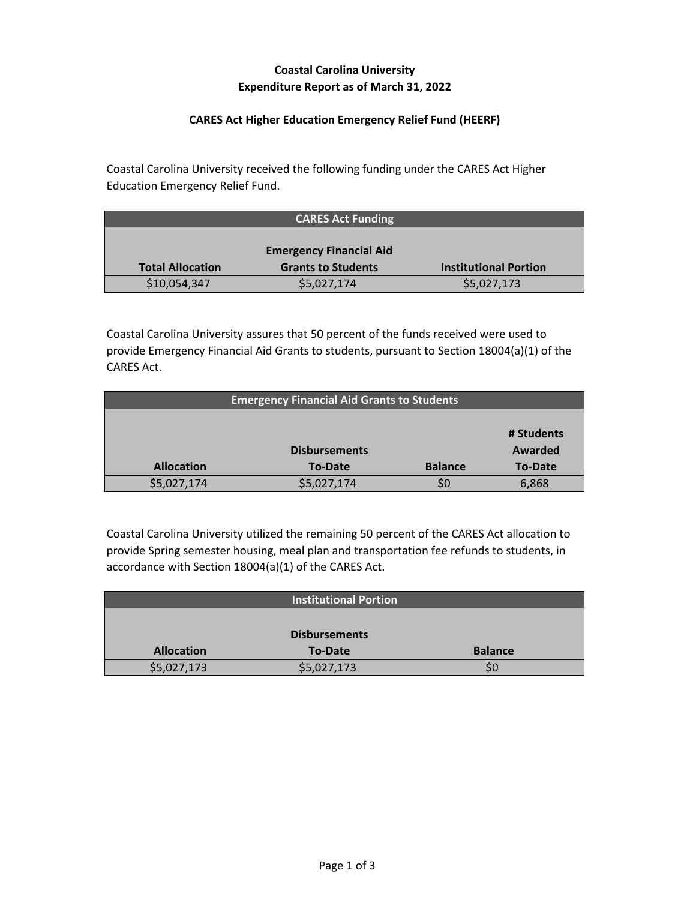# **Coastal Carolina University Expenditure Report as of March 31, 2022**

### **CARES Act Higher Education Emergency Relief Fund (HEERF)**

Coastal Carolina University received the following funding under the CARES Act Higher Education Emergency Relief Fund.

|                         | <b>CARES Act Funding</b>       |                              |
|-------------------------|--------------------------------|------------------------------|
|                         |                                |                              |
|                         | <b>Emergency Financial Aid</b> |                              |
| <b>Total Allocation</b> | <b>Grants to Students</b>      | <b>Institutional Portion</b> |
| \$10,054,347            | \$5,027,174                    | \$5,027,173                  |

Coastal Carolina University assures that 50 percent of the funds received were used to provide Emergency Financial Aid Grants to students, pursuant to Section 18004(a)(1) of the CARES Act.

| <b>Emergency Financial Aid Grants to Students</b> |                      |                |                |
|---------------------------------------------------|----------------------|----------------|----------------|
|                                                   |                      |                |                |
|                                                   |                      |                | # Students     |
|                                                   | <b>Disbursements</b> |                | Awarded        |
| <b>Allocation</b>                                 | <b>To-Date</b>       | <b>Balance</b> | <b>To-Date</b> |
| \$5,027,174                                       | \$5,027,174          |                | 6,868          |

Coastal Carolina University utilized the remaining 50 percent of the CARES Act allocation to provide Spring semester housing, meal plan and transportation fee refunds to students, in accordance with Section 18004(a)(1) of the CARES Act.

|                   | <b>Institutional Portion</b> |                |
|-------------------|------------------------------|----------------|
|                   |                              |                |
|                   | <b>Disbursements</b>         |                |
| <b>Allocation</b> | <b>To-Date</b>               | <b>Balance</b> |
| \$5,027,173       | \$5,027,173                  | SC             |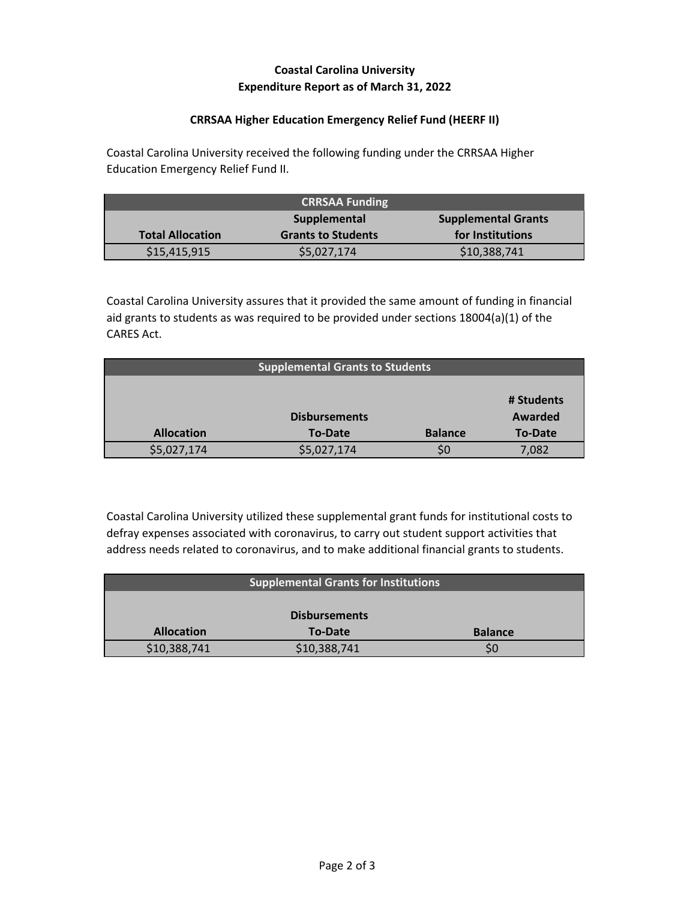## **Coastal Carolina University Expenditure Report as of March 31, 2022**

### **CRRSAA Higher Education Emergency Relief Fund (HEERF II)**

Coastal Carolina University received the following funding under the CRRSAA Higher Education Emergency Relief Fund II.

| <b>CRRSAA Funding</b>                      |                           |                  |
|--------------------------------------------|---------------------------|------------------|
| Supplemental<br><b>Supplemental Grants</b> |                           |                  |
| <b>Total Allocation</b>                    | <b>Grants to Students</b> | for Institutions |
| \$15,415,915                               | \$5,027,174               | \$10,388,741     |

Coastal Carolina University assures that it provided the same amount of funding in financial aid grants to students as was required to be provided under sections 18004(a)(1) of the CARES Act.

| <b>Supplemental Grants to Students</b> |                      |                |                |
|----------------------------------------|----------------------|----------------|----------------|
|                                        |                      |                |                |
|                                        |                      |                | # Students     |
|                                        | <b>Disbursements</b> |                | Awarded        |
| <b>Allocation</b>                      | To-Date              | <b>Balance</b> | <b>To-Date</b> |
| \$5,027,174                            | \$5,027,174          |                | 7,082          |

Coastal Carolina University utilized these supplemental grant funds for institutional costs to defray expenses associated with coronavirus, to carry out student support activities that address needs related to coronavirus, and to make additional financial grants to students.

| <b>Supplemental Grants for Institutions</b> |                |                |  |
|---------------------------------------------|----------------|----------------|--|
|                                             |                |                |  |
| <b>Disbursements</b>                        |                |                |  |
| <b>Allocation</b>                           | <b>To-Date</b> | <b>Balance</b> |  |
| \$10,388,741                                | \$10,388,741   |                |  |